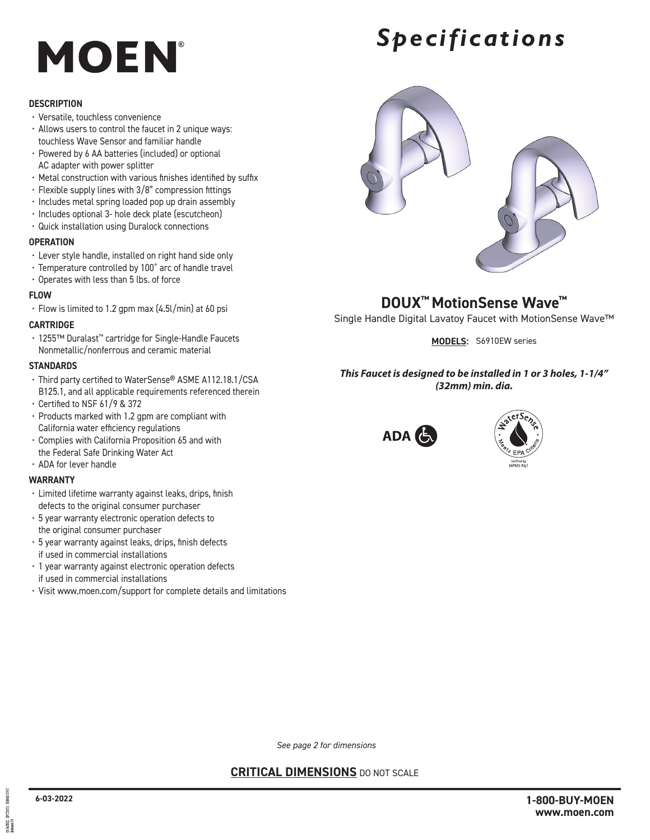## **MOEN**

### **DESCRIPTION**

- Versatile, touchless convenience
- Allows users to control the faucet in 2 unique ways: touchless Wave Sensor and familiar handle
- Powered by 6 AA batteries (included) or optional AC adapter with power splitter
- Metal construction with various finishes identified by suffix
- Flexible supply lines with 3/8" compression fittings
- Includes metal spring loaded pop up drain assembly
- Includes optional 3- hole deck plate (escutcheon)
- Quick installation using Duralock connections

### **OPERATION**

- Lever style handle, installed on right hand side only
- Temperature controlled by 100˚ arc of handle travel
- Operates with less than 5 lbs. of force

### **FLOW**

• Flow is limited to 1.2 gpm max (4.5l/min) at 60 psi

### **CARTRIDGE**

• 1255™ Duralast™ cartridge for Single-Handle Faucets Nonmetallic/nonferrous and ceramic material

### **STANDARDS**

- Third party certified to WaterSense® ASME A112.18.1/CSA B125.1, and all applicable requirements referenced therein
- Certified to NSF 61/9 & 372
- Products marked with 1.2 gpm are compliant with California water efficiency regulations
- Complies with California Proposition 65 and with the Federal Safe Drinking Water Act
- ADA for lever handle

### **WARRANTY**

- Limited lifetime warranty against leaks, drips, finish defects to the original consumer purchaser
- 5 year warranty electronic operation defects to the original consumer purchaser
- 5 year warranty against leaks, drips, finish defects if used in commercial installations
- 1 year warranty against electronic operation defects if used in commercial installations
- Visit www.moen.com/support for complete details and limitations

## *Specifications*



**DOUX™ MotionSense Wave™** Single Handle Digital Lavatoy Faucet with MotionSense Wave™

**MODELS:** S6910EW series

### *This Faucet is designed to be installed in 1 or 3 holes, 1-1/4" (32mm) min. dia.*





*See page 2 for dimensions*

### **CRITICAL DIMENSIONS** DO NOT SCALE

50700051501 **PC2907** 506/302<br>Chrased 00